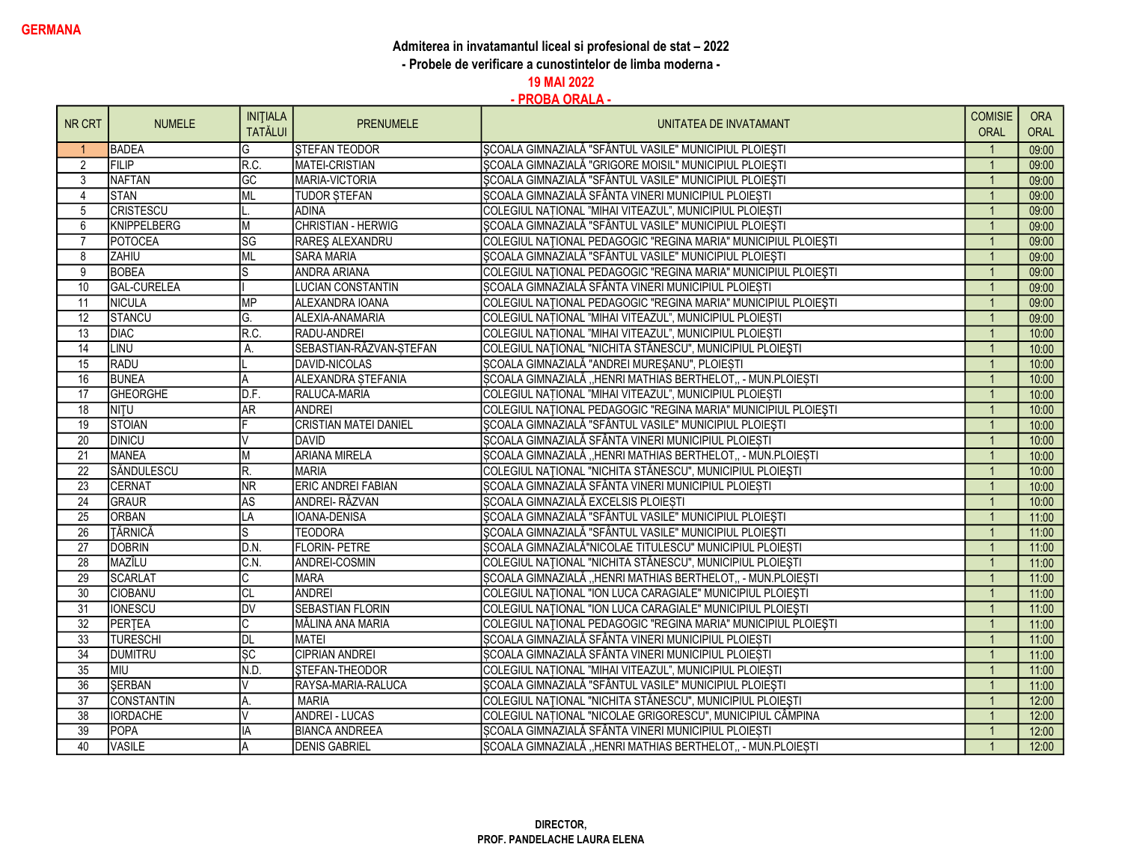## Admiterea in invatamantul liceal si profesional de stat - 2022

- Probele de verificare a cunostintelor de limba moderna -

19 MAI 2022

| NR CRT          | <b>NUMELE</b>      | <b>INITIALA</b>        | <b>PRENUMELE</b>             | UNITATEA DE INVATAMANT                                         | <b>COMISIE</b> | <b>ORA</b> |
|-----------------|--------------------|------------------------|------------------------------|----------------------------------------------------------------|----------------|------------|
|                 |                    | <b>TATĂLUI</b>         |                              |                                                                | ORAL           | ORAL       |
|                 | <b>BADEA</b>       | G                      | <b>STEFAN TEODOR</b>         | SCOALA GIMNAZIALĂ "SFÂNTUL VASILE" MUNICIPIUL PLOIEȘTI         |                | 09:00      |
| 2               | FILIP              | R.C.                   | <b>MATEI-CRISTIAN</b>        | SCOALA GIMNAZIALĂ "GRIGORE MOISIL" MUNICIPIUL PLOIESTI         | $\overline{1}$ | 09:00      |
| 3               | <b>NAFTAN</b>      | $\overline{GC}$        | MARIA-VICTORIA               | SCOALA GIMNAZIALĂ "SFÂNTUL VASILE" MUNICIPIUL PLOIEȘTI         |                | 09:00      |
| $\overline{4}$  | <b>STAN</b>        | ML                     | <b>TUDOR STEFAN</b>          | SCOALA GIMNAZIALĂ SFÂNTA VINERI MUNICIPIUL PLOIEȘTI            |                | 09:00      |
| 5               | <b>CRISTESCU</b>   |                        | <b>ADINA</b>                 | COLEGIUL NAȚIONAL "MIHAI VITEAZUL", MUNICIPIUL PLOIEȘTI        |                | 09:00      |
| 6               | <b>KNIPPELBERG</b> | M                      | <b>CHRISTIAN - HERWIG</b>    | SCOALA GIMNAZIALĂ "SFÂNTUL VASILE" MUNICIPIUL PLOIESTI         |                | 09:00      |
| $\overline{7}$  | <b>POTOCEA</b>     | $\overline{\text{SG}}$ | RAREŞ ALEXANDRU              | COLEGIUL NAȚIONAL PEDAGOGIC "REGINA MARIA" MUNICIPIUL PLOIEȘTI |                | 09:00      |
| 8               | ZAHIU              | <b>ML</b>              | <b>SARA MARIA</b>            | ŞCOALA GIMNAZIALĂ "SFÂNTUL VASILE" MUNICIPIUL PLOIEȘTI         |                | 09:00      |
| $\overline{9}$  | <b>BOBEA</b>       | ls                     | <b>ANDRA ARIANA</b>          | COLEGIUL NAȚIONAL PEDAGOGIC "REGINA MARIA" MUNICIPIUL PLOIEȘTI |                | 09:00      |
| 10              | <b>GAL-CURELEA</b> |                        | <b>LUCIAN CONSTANTIN</b>     | SCOALA GIMNAZIALĂ SFÂNTA VINERI MUNICIPIUL PLOIEȘTI            |                | 09:00      |
| 11              | <b>NICULA</b>      | <b>MP</b>              | ALEXANDRA IOANA              | COLEGIUL NAȚIONAL PEDAGOGIC "REGINA MARIA" MUNICIPIUL PLOIEȘTI |                | 09:00      |
| 12              | <b>STANCU</b>      | G.                     | ALEXIA-ANAMARIA              | COLEGIUL NAȚIONAL "MIHAI VITEAZUL", MUNICIPIUL PLOIEȘTI        |                | 09:00      |
| $\overline{13}$ | <b>DIAC</b>        | R.C.                   | RADU-ANDREI                  | COLEGIUL NAȚIONAL "MIHAI VITEAZUL", MUNICIPIUL PLOIEȘTI        |                | 10:00      |
| $\overline{14}$ | <b>LINU</b>        | А.                     | SEBASTIAN-RĂZVAN-STEFAN      | COLEGIUL NAȚIONAL "NICHITA STĂNESCU", MUNICIPIUL PLOIEȘTI      |                | 10:00      |
| 15              | RADU               |                        | DAVID-NICOLAS                | SCOALA GIMNAZIALĂ "ANDREI MUREȘANU", PLOIEȘTI                  |                | 10:00      |
| 16              | <b>BUNEA</b>       | A                      | ALEXANDRA STEFANIA           | SCOALA GIMNAZIALĂ "HENRI MATHIAS BERTHELOT, - MUN.PLOIESTI     | $\overline{1}$ | 10:00      |
| $\overline{17}$ | <b>GHEORGHE</b>    | D.F.                   | RALUCA-MARIA                 | COLEGIUL NAȚIONAL "MIHAI VITEAZUL", MUNICIPIUL PLOIEȘTI        |                | 10:00      |
| 18              | NITU               | <b>AR</b>              | <b>ANDREI</b>                | COLEGIUL NAȚIONAL PEDAGOGIC "REGINA MARIA" MUNICIPIUL PLOIEȘTI |                | 10:00      |
| 19              | <b>STOIAN</b>      |                        | <b>CRISTIAN MATEI DANIEL</b> | ŞCOALA GIMNAZIALĂ "SFÂNTUL VASILE" MUNICIPIUL PLOIEȘTI         |                | 10:00      |
| 20              | <b>DINICU</b>      |                        | DAVID                        | SCOALA GIMNAZIALĂ SFÂNTA VINERI MUNICIPIUL PLOIEȘTI            |                | 10:00      |
| $\overline{21}$ | <b>MANEA</b>       | M                      | <b>ARIANA MIRELA</b>         | ȘCOALA GIMNAZIALĂ "HENRI MATHIAS BERTHELOT,, - MUN.PLOIEȘTI    |                | 10:00      |
| $\overline{22}$ | SĂNDULESCU         | R.                     | <b>MARIA</b>                 | COLEGIUL NAȚIONAL "NICHITA STĂNESCU", MUNICIPIUL PLOIEȘTI      |                | 10:00      |
| $\overline{23}$ | CERNAT             | <b>NR</b>              | ERIC ANDREI FABIAN           | SCOALA GIMNAZIALĂ SFÂNTA VINERI MUNICIPIUL PLOIEȘTI            |                | 10:00      |
| 24              | GRAUR              | <b>AS</b>              | ANDREI-RĂZVAN                | SCOALA GIMNAZIALĂ EXCELSIS PLOIESTI                            |                | 10:00      |
| 25              | <b>ORBAN</b>       | LA                     | IOANA-DENISA                 | SCOALA GIMNAZIALĂ "SFÂNTUL VASILE" MUNICIPIUL PLOIEȘTI         |                | 11:00      |
| $\overline{26}$ | TĂRNICĂ            | ls                     | <b>TEODORA</b>               | SCOALA GIMNAZIALĂ "SFÂNTUL VASILE" MUNICIPIUL PLOIEȘTI         |                | 11:00      |
| $\overline{27}$ | <b>DOBRIN</b>      | D.N.                   | <b>FLORIN-PETRE</b>          | SCOALA GIMNAZIALĂ"NICOLAE TITULESCU" MUNICIPIUL PLOIEȘTI       |                | 11:00      |
| $\overline{28}$ | MAZÎLU             | C.N.                   | <b>ANDREI-COSMIN</b>         | COLEGIUL NAȚIONAL "NICHITA STĂNESCU", MUNICIPIUL PLOIEȘTI      | $\overline{1}$ | 11:00      |
| 29              | <b>SCARLAT</b>     |                        | <b>MARA</b>                  | ȘCOALA GIMNAZIALĂ "HENRI MATHIAS BERTHELOT, - MUN.PLOIEȘTI     | $\overline{1}$ | 11:00      |
| 30              | <b>CIOBANU</b>     | <b>CL</b>              | <b>ANDREI</b>                | COLEGIUL NAȚIONAL "ION LUCA CARAGIALE" MUNICIPIUL PLOIEȘTI     |                | 11:00      |
| 31              | <b>IONESCU</b>     | <b>DV</b>              | <b>SEBASTIAN FLORIN</b>      | COLEGIUL NAȚIONAL "ION LUCA CARAGIALE" MUNICIPIUL PLOIEȘTI     |                | 11:00      |
| $\overline{32}$ | PERTEA             |                        | MĂLINA ANA MARIA             | COLEGIUL NAȚIONAL PEDAGOGIC "REGINA MARIA" MUNICIPIUL PLOIEȘTI |                | 11:00      |
| 33              | <b>TURESCHI</b>    | <b>DL</b>              | <b>MATEI</b>                 | SCOALA GIMNAZIALĂ SFÂNTA VINERI MUNICIPIUL PLOIEȘTI            |                | 11:00      |
| $\overline{34}$ | <b>DUMITRU</b>     | $\overline{\text{sc}}$ | <b>CIPRIAN ANDREI</b>        | ȘCOALA GIMNAZIALĂ SFÂNTA VINERI MUNICIPIUL PLOIEȘTI            |                | 11:00      |
| 35              | MIU                | N.D                    | <b>STEFAN-THEODOR</b>        | COLEGIUL NATIONAL "MIHAI VITEAZUL", MUNICIPIUL PLOIEȘTI        |                | 11:00      |
| 36              | <b>ŞERBAN</b>      | $\vee$                 | RAYSA-MARIA-RALUCA           | ȘCOALA GIMNAZIALĂ "SFÂNTUL VASILE" MUNICIPIUL PLOIEȘTI         |                | 11:00      |
| 37              | <b>CONSTANTIN</b>  | A.                     | <b>MARIA</b>                 | COLEGIUL NAȚIONAL "NICHITA STĂNESCU", MUNICIPIUL PLOIEȘTI      |                | 12:00      |
| $\overline{38}$ | <b>IORDACHE</b>    | V                      | <b>ANDREI - LUCAS</b>        | COLEGIUL NAȚIONAL "NICOLAE GRIGORESCU", MUNICIPIUL CÂMPINA     |                | 12:00      |
| 39              | POPA               | IA                     | <b>BIANCA ANDREEA</b>        | SCOALA GIMNAZIALĂ SFÂNTA VINERI MUNICIPIUL PLOIESTI            |                | 12:00      |
| 40              | <b>VASILE</b>      |                        | <b>DENIS GABRIEL</b>         | SCOALA GIMNAZIALĂ "HENRI MATHIAS BERTHELOT, - MUN.PLOIESTI     |                | 12:00      |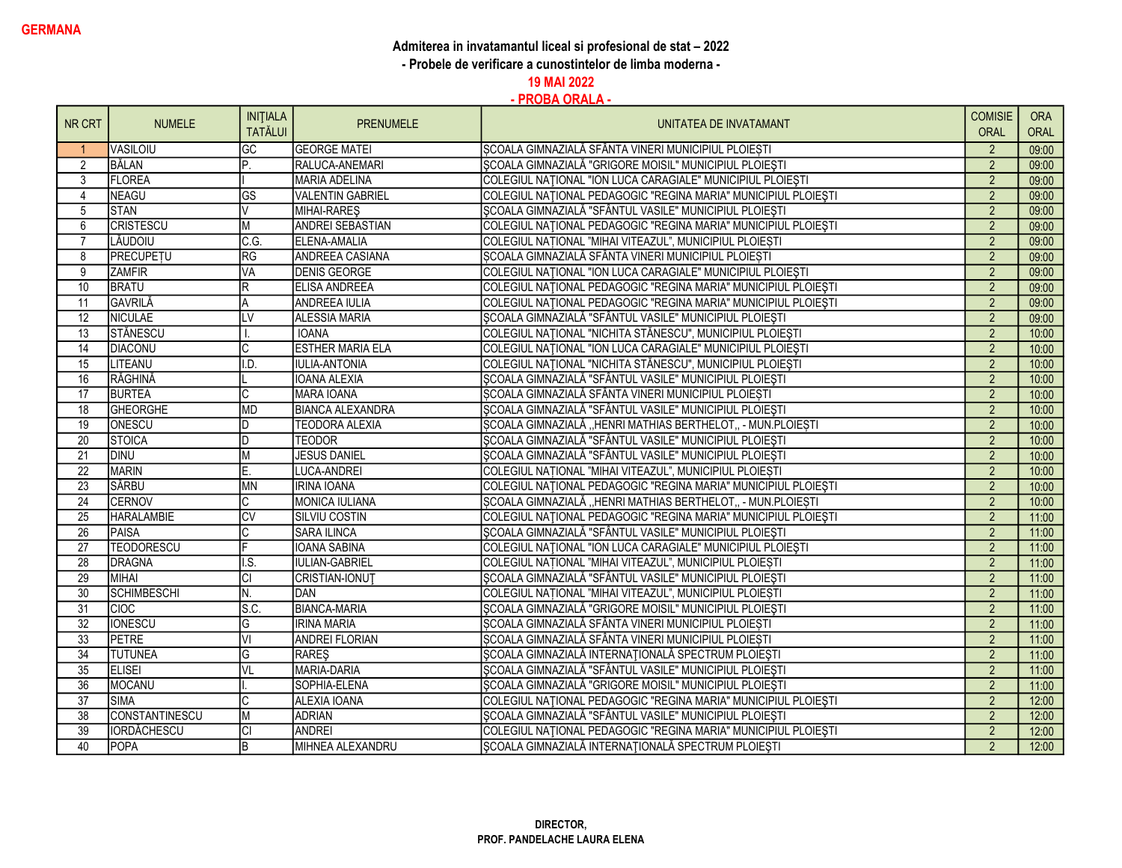## Admiterea in invatamantul liceal si profesional de stat – 2022

- Probele de verificare a cunostintelor de limba moderna -

19 MAI 2022

|                 |                    | <b>INITIALA</b> |                         |                                                                | <b>COMISIE</b> | <b>ORA</b>  |
|-----------------|--------------------|-----------------|-------------------------|----------------------------------------------------------------|----------------|-------------|
| NR CRT          | <b>NUMELE</b>      | <b>TATĂLUI</b>  | <b>PRENUMELE</b>        | UNITATEA DE INVATAMANT                                         | ORAL           | <b>ORAL</b> |
|                 | VASILOIU           | GC              | <b>GEORGE MATEI</b>     | SCOALA GIMNAZIALĂ SFÂNTA VINERI MUNICIPIUL PLOIESTI            | $\overline{2}$ | 09:00       |
| 2               | BĂLAN              | P.              | RALUCA-ANEMARI          | SCOALA GIMNAZIALĂ "GRIGORE MOISIL" MUNICIPIUL PLOIESTI         | $\overline{2}$ | 09:00       |
| 3               | <b>FLOREA</b>      |                 | <b>MARIA ADELINA</b>    | COLEGIUL NATIONAL "ION LUCA CARAGIALE" MUNICIPIUL PLOIEȘTI     | $\overline{2}$ | 09:00       |
| $\overline{4}$  | <b>NEAGU</b>       | <b>GS</b>       | <b>VALENTIN GABRIEL</b> | COLEGIUL NAȚIONAL PEDAGOGIC "REGINA MARIA" MUNICIPIUL PLOIEȘTI | $\overline{2}$ | 09:00       |
| 5               | <b>STAN</b>        | lV              | MIHAI-RARES             | SCOALA GIMNAZIALĂ "SFÂNTUL VASILE" MUNICIPIUL PLOIEȘTI         | $\overline{2}$ | 09:00       |
| 6               | <b>CRISTESCU</b>   | M               | <b>ANDREI SEBASTIAN</b> | COLEGIUL NATIONAL PEDAGOGIC "REGINA MARIA" MUNICIPIUL PLOIESTI | $\overline{2}$ | 09:00       |
| $\overline{7}$  | LĂUDOIU            | C.G.            | <b>ELENA-AMALIA</b>     | COLEGIUL NAȚIONAL "MIHAI VITEAZUL", MUNICIPIUL PLOIEȘTI        | $\overline{2}$ | 09:00       |
| 8               | <b>PRECUPETU</b>   | RG              | ANDREEA CASIANA         | SCOALA GIMNAZIALĂ SFÂNTA VINERI MUNICIPIUL PLOIEȘTI            | 2              | 09:00       |
| $\overline{9}$  | <b>ZAMFIR</b>      | VA              | <b>DENIS GEORGE</b>     | COLEGIUL NAȚIONAL "ION LUCA CARAGIALE" MUNICIPIUL PLOIEȘTI     | $\overline{2}$ | 09:00       |
| $\overline{10}$ | <b>BRATU</b>       | $\overline{R}$  | <b>ELISA ANDREEA</b>    | COLEGIUL NAȚIONAL PEDAGOGIC "REGINA MARIA" MUNICIPIUL PLOIEȘTI | $\overline{2}$ | 09:00       |
| 11              | GAVRILĂ            | A               | <b>ANDREEA IULIA</b>    | COLEGIUL NAȚIONAL PEDAGOGIC "REGINA MARIA" MUNICIPIUL PLOIEȘTI | $\overline{2}$ | 09:00       |
| 12              | <b>NICULAE</b>     | LV              | <b>ALESSIA MARIA</b>    | ȘCOALA GIMNAZIALĂ "SFÂNTUL VASILE" MUNICIPIUL PLOIEȘTI         | $\overline{2}$ | 09:00       |
| $\overline{13}$ | STĂNESCU           |                 | <b>IOANA</b>            | COLEGIUL NAȚIONAL "NICHITA STĂNESCU", MUNICIPIUL PLOIEȘTI      | $\overline{2}$ | 10:00       |
| $\overline{14}$ | <b>DIACONU</b>     | C               | <b>ESTHER MARIA ELA</b> | COLEGIUL NAȚIONAL "ION LUCA CARAGIALE" MUNICIPIUL PLOIEȘTI     | $\overline{2}$ | 10:00       |
| 15              | LITEANU            | I.D.            | <b>IULIA-ANTONIA</b>    | COLEGIUL NAȚIONAL "NICHITA STĂNESCU", MUNICIPIUL PLOIEȘTI      | $\overline{2}$ | 10:00       |
| 16              | RĂGHINĂ            |                 | <b>IOANA ALEXIA</b>     | SCOALA GIMNAZIALĂ "SFÂNTUL VASILE" MUNICIPIUL PLOIEȘTI         | $\overline{2}$ | 10:00       |
| $\overline{17}$ | <b>BURTEA</b>      | C               | <b>MARA IOANA</b>       | ȘCOALA GIMNAZIALĂ SFÂNTA VINERI MUNICIPIUL PLOIEȘTI            | $\overline{2}$ | 10:00       |
| 18              | <b>GHEORGHE</b>    | <b>MD</b>       | <b>BIANCA ALEXANDRA</b> | ȘCOALA GIMNAZIALĂ "SFÂNTUL VASILE" MUNICIPIUL PLOIEȘTI         | $\overline{2}$ | 10:00       |
| 19              | <b>ONESCU</b>      | D               | <b>TEODORA ALEXIA</b>   | ȘCOALA GIMNAZIALĂ "HENRI MATHIAS BERTHELOT, - MUN.PLOIEȘTI     | $\overline{2}$ | 10:00       |
| $\overline{20}$ | STOICA             | lD.             | <b>TEODOR</b>           | SCOALA GIMNAZIALĂ "SFÂNTUL VASILE" MUNICIPIUL PLOIEȘTI         | $\overline{2}$ | 10:00       |
| $\overline{21}$ | <b>DINU</b>        | M               | <b>JESUS DANIEL</b>     | SCOALA GIMNAZIALĂ "SFÂNTUL VASILE" MUNICIPIUL PLOIEȘTI         | $\overline{2}$ | 10:00       |
| $\overline{22}$ | <b>MARIN</b>       | E.              | <b>LUCA-ANDREI</b>      | COLEGIUL NAȚIONAL "MIHAI VITEAZUL", MUNICIPIUL PLOIEȘTI        | $\overline{2}$ | 10:00       |
| 23              | SÂRBU              | <b>MN</b>       | <b>IRINA IOANA</b>      | COLEGIUL NAȚIONAL PEDAGOGIC "REGINA MARIA" MUNICIPIUL PLOIEȘTI | $\overline{2}$ | 10:00       |
| 24              | CERNOV             |                 | <b>MONICA IULIANA</b>   | ȘCOALA GIMNAZIALĂ "HENRI MATHIAS BERTHELOT,, - MUN.PLOIEȘTI    | $\overline{2}$ | 10:00       |
| 25              | <b>HARALAMBIE</b>  | <b>CV</b>       | <b>SILVIU COSTIN</b>    | COLEGIUL NAȚIONAL PEDAGOGIC "REGINA MARIA" MUNICIPIUL PLOIEȘTI | $\overline{2}$ | 11:00       |
| $\overline{26}$ | PAISA              | C               | <b>SARA ILINCA</b>      | ȘCOALA GIMNAZIALĂ "SFÂNTUL VASILE" MUNICIPIUL PLOIEȘTI         | $\overline{2}$ | 11:00       |
| $\overline{27}$ | <b>TEODORESCU</b>  | F               | <b>IOANA SABINA</b>     | COLEGIUL NATIONAL "ION LUCA CARAGIALE" MUNICIPIUL PLOIEȘTI     | $\overline{2}$ | 11:00       |
| $\overline{28}$ | DRAGNA             | I.S.            | <b>IULIAN-GABRIEL</b>   | COLEGIUL NAȚIONAL "MIHAI VITEAZUL", MUNICIPIUL PLOIEȘTI        | $\overline{2}$ | 11:00       |
| 29              | <b>MIHAI</b>       | lСI             | <b>CRISTIAN-IONUT</b>   | SCOALA GIMNAZIALĂ "SFÂNTUL VASILE" MUNICIPIUL PLOIEȘTI         | $\overline{2}$ | 11:00       |
| 30              | <b>SCHIMBESCHI</b> | N.              | <b>DAN</b>              | COLEGIUL NAȚIONAL "MIHAI VITEAZUL", MUNICIPIUL PLOIEȘTI        | $\overline{2}$ | 11:00       |
| 31              | <b>CIOC</b>        | s.c.            | <b>BIANCA-MARIA</b>     | ȘCOALA GIMNAZIALĂ "GRIGORE MOISIL" MUNICIPIUL PLOIEȘTI         | $\overline{2}$ | 11:00       |
| $\overline{32}$ | <b>IONESCU</b>     | G               | <b>IRINA MARIA</b>      | SCOALA GIMNAZIALĂ SFÂNTA VINERI MUNICIPIUL PLOIEȘTI            | $\overline{2}$ | 11:00       |
| 33              | PETRE              | ΙVΙ             | <b>ANDREI FLORIAN</b>   | SCOALA GIMNAZIALĂ SFÂNTA VINERI MUNICIPIUL PLOIESTI            | $\overline{2}$ | 11:00       |
| $\overline{34}$ | <b>TUTUNEA</b>     | G               | <b>RAREŞ</b>            | ȘCOALA GIMNAZIALĂ INTERNAȚIONALĂ SPECTRUM PLOIEȘTI             | $\overline{2}$ | 11:00       |
| 35              | <b>ELISEI</b>      | VL.             | <b>MARIA-DARIA</b>      | SCOALA GIMNAZIALĂ "SFÂNTUL VASILE" MUNICIPIUL PLOIEȘTI         | $\overline{2}$ | 11:00       |
| $\overline{36}$ | <b>MOCANU</b>      |                 | SOPHIA-ELENA            | ȘCOALA GIMNAZIALĂ "GRIGORE MOISIL" MUNICIPIUL PLOIEȘTI         | $\overline{2}$ | 11:00       |
| 37              | <b>SIMA</b>        |                 | <b>ALEXIA IOANA</b>     | COLEGIUL NAȚIONAL PEDAGOGIC "REGINA MARIA" MUNICIPIUL PLOIEȘTI | $\overline{2}$ | 12:00       |
| $\overline{38}$ | CONSTANTINESCU     | M               | <b>ADRIAN</b>           | SCOALA GIMNAZIALĂ "SFÂNTUL VASILE" MUNICIPIUL PLOIEȘTI         | $\overline{2}$ | 12:00       |
| 39              | <b>IORDĂCHESCU</b> | СI              | <b>ANDREI</b>           | COLEGIUL NAȚIONAL PEDAGOGIC "REGINA MARIA" MUNICIPIUL PLOIEȘTI | $\overline{2}$ | 12:00       |
| 40              | POPA               | B               | MIHNEA ALEXANDRU        | SCOALA GIMNAZIALĂ INTERNAȚIONALĂ SPECTRUM PLOIESTI             | $\mathfrak{p}$ | 12:00       |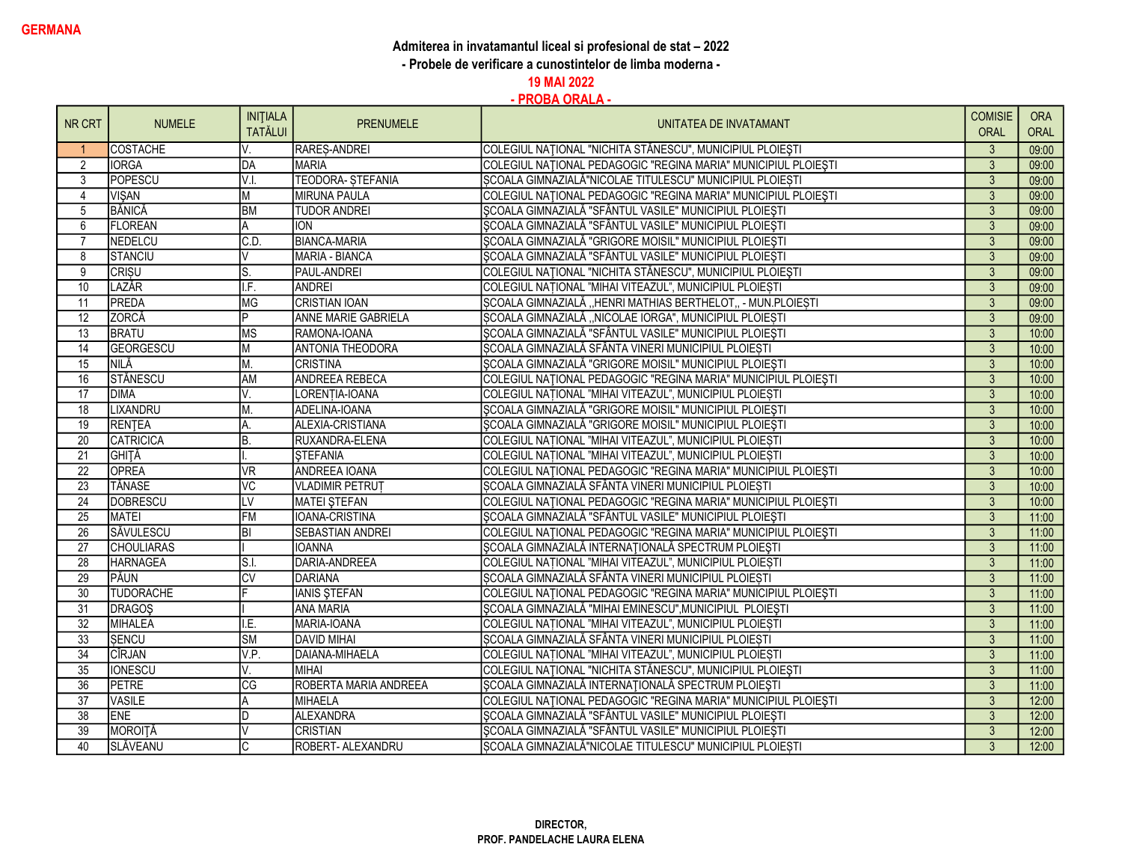## Admiterea in invatamantul liceal si profesional de stat – 2022

- Probele de verificare a cunostintelor de limba moderna -

19 MAI 2022

|                 |                   | <b>INITIALA</b>                          |                         |                                                                | <b>COMISIE</b> | <b>ORA</b> |
|-----------------|-------------------|------------------------------------------|-------------------------|----------------------------------------------------------------|----------------|------------|
| NR CRT          | <b>NUMELE</b>     | <b>TATĂLUI</b>                           | <b>PRENUMELE</b>        | UNITATEA DE INVATAMANT                                         | <b>ORAL</b>    | ORAL       |
|                 | COSTACHE          | V.                                       | RARES-ANDREI            | COLEGIUL NAȚIONAL "NICHITA STĂNESCU", MUNICIPIUL PLOIEȘTI      | $\mathbf{3}$   | 09:00      |
| 2               | <b>IORGA</b>      | DA                                       | <b>MARIA</b>            | COLEGIUL NAȚIONAL PEDAGOGIC "REGINA MARIA" MUNICIPIUL PLOIEȘTI | $\overline{3}$ | 09:00      |
| $\overline{3}$  | POPESCU           | V.I.                                     | <b>TEODORA-STEFANIA</b> | SCOALA GIMNAZIALĂ"NICOLAE TITULESCU" MUNICIPIUL PLOIEȘTI       | $\overline{3}$ | 09:00      |
| $\overline{4}$  | <b>VISAN</b>      | M                                        | <b>MIRUNA PAULA</b>     | COLEGIUL NAȚIONAL PEDAGOGIC "REGINA MARIA" MUNICIPIUL PLOIEȘTI | 3              | 09:00      |
| $\overline{5}$  | BĂNICĂ            | <b>BM</b>                                | <b>TUDOR ANDREI</b>     | SCOALA GIMNAZIALĂ "SFÂNTUL VASILE" MUNICIPIUL PLOIEȘTI         | $\overline{3}$ | 09:00      |
| 6               | <b>FLOREAN</b>    | A                                        | <b>ION</b>              | SCOALA GIMNAZIALĂ "SFÂNTUL VASILE" MUNICIPIUL PLOIEȘTI         | 3              | 09:00      |
| $\overline{7}$  | NEDELCU           | C.D.                                     | <b>BIANCA-MARIA</b>     | SCOALA GIMNAZIALĂ "GRIGORE MOISIL" MUNICIPIUL PLOIESTI         | $\overline{3}$ | 09:00      |
| 8               | <b>STANCIU</b>    |                                          | MARIA - BIANCA          | SCOALA GIMNAZIALĂ "SFÂNTUL VASILE" MUNICIPIUL PLOIEȘTI         | $\mathbf{3}$   | 09:00      |
| 9               | <b>CRISU</b>      | lS.                                      | PAUL-ANDREI             | COLEGIUL NAȚIONAL "NICHITA STĂNESCU", MUNICIPIUL PLOIEȘTI      | $\overline{3}$ | 09:00      |
| 10              | LAZĂR             | I.F.                                     | <b>ANDREI</b>           | COLEGIUL NATIONAL "MIHAI VITEAZUL", MUNICIPIUL PLOIEȘTI        | $\overline{3}$ | 09:00      |
| 11              | PREDA             | <b>MG</b>                                | <b>CRISTIAN IOAN</b>    | SCOALA GIMNAZIALĂ "HENRI MATHIAS BERTHELOT, - MUN.PLOIEȘTI     | $\overline{3}$ | 09:00      |
| $\overline{12}$ | ZORCĂ             | P                                        | ANNE MARIE GABRIELA     | ȘCOALA GIMNAZIALĂ "NICOLAE IORGA", MUNICIPIUL PLOIEȘTI         | 3              | 09:00      |
| 13              | <b>BRATU</b>      | <b>MS</b>                                | RAMONA-IOANA            | ȘCOALA GIMNAZIALĂ "SFÂNTUL VASILE" MUNICIPIUL PLOIEȘTI         | 3              | 10:00      |
| 14              | GEORGESCU         | M                                        | <b>ANTONIA THEODORA</b> | SCOALA GIMNAZIALĂ SFÂNTA VINERI MUNICIPIUL PLOIEȘTI            | $\overline{3}$ | 10:00      |
| 15              | <b>INILĂ</b>      | M.                                       | <b>CRISTINA</b>         | SCOALA GIMNAZIALĂ "GRIGORE MOISIL" MUNICIPIUL PLOIEȘTI         | 3              | 10:00      |
| 16              | <b>STĂNESCU</b>   | <b>AM</b>                                | <b>ANDREEA REBECA</b>   | COLEGIUL NATIONAL PEDAGOGIC "REGINA MARIA" MUNICIPIUL PLOIESTI | $\overline{3}$ | 10:00      |
| 17              | <b>DIMA</b>       | V.                                       | LORENTIA-IOANA          | COLEGIUL NAȚIONAL "MIHAI VITEAZUL", MUNICIPIUL PLOIEȘTI        | $\mathbf{3}$   | 10:00      |
| 18              | LIXANDRU          | М.                                       | ADELINA-IOANA           | ȘCOALA GIMNAZIALĂ "GRIGORE MOISIL" MUNICIPIUL PLOIEȘTI         | $\overline{3}$ | 10:00      |
| 19              | <b>RENTEA</b>     | A.                                       | ALEXIA-CRISTIANA        | ȘCOALA GIMNAZIALĂ "GRIGORE MOISIL" MUNICIPIUL PLOIEȘTI         | $\overline{3}$ | 10:00      |
| 20              | CATRICICA         | B.                                       | RUXANDRA-ELENA          | COLEGIUL NAȚIONAL "MIHAI VITEAZUL", MUNICIPIUL PLOIEȘTI        | $\overline{3}$ | 10:00      |
| 21              | <b>GHITĂ</b>      |                                          | <b>STEFANIA</b>         | COLEGIUL NATIONAL "MIHAI VITEAZUL", MUNICIPIUL PLOIESTI        | $\overline{3}$ | 10:00      |
| $\overline{22}$ | <b>OPREA</b>      | <b>VR</b>                                | <b>ANDREEA IOANA</b>    | COLEGIUL NAȚIONAL PEDAGOGIC "REGINA MARIA" MUNICIPIUL PLOIEȘTI | $\overline{3}$ | 10:00      |
| $\overline{23}$ | TĂNASE            | $\overline{\text{VC}}$                   | <b>VLADIMIR PETRUT</b>  | SCOALA GIMNAZIALĂ SFÂNTA VINERI MUNICIPIUL PLOIEȘTI            | $\overline{3}$ | 10:00      |
| 24              | DOBRESCU          | LV                                       | <b>MATEI STEFAN</b>     | COLEGIUL NAȚIONAL PEDAGOGIC "REGINA MARIA" MUNICIPIUL PLOIEȘTI | $\overline{3}$ | 10:00      |
| 25              | MATEI             | <b>FM</b>                                | IOANA-CRISTINA          | SCOALA GIMNAZIALĂ "SFÂNTUL VASILE" MUNICIPIUL PLOIEȘTI         | $\overline{3}$ | 11:00      |
| $\overline{26}$ | SĂVULESCU         | BI                                       | <b>SEBASTIAN ANDREI</b> | COLEGIUL NATIONAL PEDAGOGIC "REGINA MARIA" MUNICIPIUL PLOIESTI | $\overline{3}$ | 11:00      |
| $\overline{27}$ | <b>CHOULIARAS</b> |                                          | <b>IOANNA</b>           | ȘCOALA GIMNAZIALĂ INTERNAȚIONALĂ SPECTRUM PLOIEȘTI             | 3              | 11:00      |
| 28              | <b>HARNAGEA</b>   | $\overline{\mathsf{S} \cdot \mathsf{I}}$ | DARIA-ANDREEA           | COLEGIUL NAȚIONAL "MIHAI VITEAZUL", MUNICIPIUL PLOIEȘTI        | $\overline{3}$ | 11:00      |
| $\overline{29}$ | PĂUN              | $\overline{\text{cv}}$                   | DARIANA                 | SCOALA GIMNAZIALĂ SFÂNTA VINERI MUNICIPIUL PLOIEȘTI            | $\overline{3}$ | 11:00      |
| $\overline{30}$ | <b>TUDORACHE</b>  |                                          | <b>IANIS STEFAN</b>     | COLEGIUL NAȚIONAL PEDAGOGIC "REGINA MARIA" MUNICIPIUL PLOIEȘTI | $\overline{3}$ | 11:00      |
| $\overline{31}$ | <b>DRAGOŞ</b>     |                                          | <b>ANA MARIA</b>        | ȘCOALA GIMNAZIALĂ "MIHAI EMINESCU", MUNICIPIUL PLOIEȘTI        | $\overline{3}$ | 11:00      |
| $\overline{32}$ | MIHALEA           | I.E.                                     | MARIA-IOANA             | COLEGIUL NAȚIONAL "MIHAI VITEAZUL", MUNICIPIUL PLOIEȘTI        | 3              | 11:00      |
| 33              | <b>SENCU</b>      | <b>SM</b>                                | <b>DAVID MIHAI</b>      | SCOALA GIMNAZIALĂ SFÂNTA VINERI MUNICIPIUL PLOIEȘTI            | $\overline{3}$ | 11:00      |
| 34              | CÎRJAN            | V.P.                                     | DAIANA-MIHAELA          | COLEGIUL NATIONAL "MIHAI VITEAZUL", MUNICIPIUL PLOIESTI        | $\mathbf{3}$   | 11:00      |
| 35              | <b>IONESCU</b>    | V.                                       | <b>MIHAI</b>            | COLEGIUL NAȚIONAL "NICHITA STĂNESCU", MUNICIPIUL PLOIEȘTI      | $\overline{3}$ | 11:00      |
| $\overline{36}$ | <b>PETRE</b>      | $\overline{\text{CG}}$                   | ROBERTA MARIA ANDREEA   | ȘCOALA GIMNAZIALĂ INTERNAȚIONALĂ SPECTRUM PLOIEȘTI             | $\overline{3}$ | 11:00      |
| $\overline{37}$ | <b>VASILE</b>     |                                          | <b>MIHAELA</b>          | COLEGIUL NAȚIONAL PEDAGOGIC "REGINA MARIA" MUNICIPIUL PLOIEȘTI | 3              | 12:00      |
| $\overline{38}$ | <b>ENE</b>        |                                          | <b>ALEXANDRA</b>        | SCOALA GIMNAZIALĂ "SFÂNTUL VASILE" MUNICIPIUL PLOIEȘTI         | $\overline{3}$ | 12:00      |
| 39              | MOROITĂ           |                                          | <b>CRISTIAN</b>         | ȘCOALA GIMNAZIALĂ "SFÂNTUL VASILE" MUNICIPIUL PLOIEȘTI         | 3              | 12:00      |
| 40              | SLĂVEANU          |                                          | ROBERT- ALEXANDRU       | SCOALA GIMNAZIALĂ"NICOLAE TITULESCU" MUNICIPIUL PLOIESTI       | $\mathbf{3}$   | 12:00      |